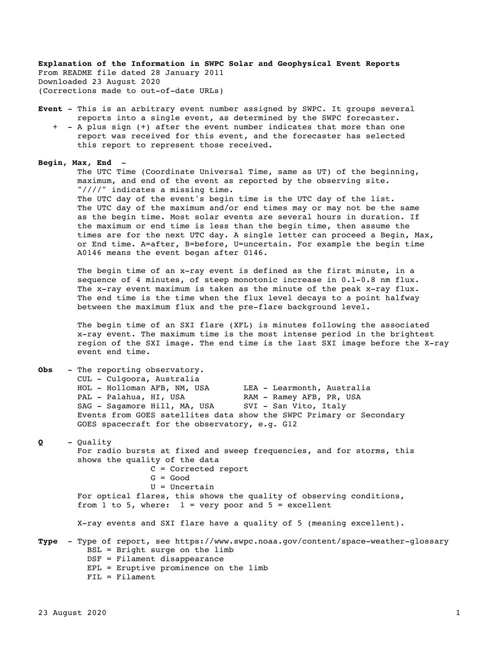**Explanation of the Information in SWPC Solar and Geophysical Event Reports** From README file dated 28 January 2011 Downloaded 23 August 2020 (Corrections made to out-of-date URLs)

- **Event** This is an arbitrary event number assigned by SWPC. It groups several reports into a single event, as determined by the SWPC forecaster.
	- + A plus sign (+) after the event number indicates that more than one report was received for this event, and the forecaster has selected this report to represent those received.

**Begin, Max, End** -

 The UTC Time (Coordinate Universal Time, same as UT) of the beginning, maximum, and end of the event as reported by the observing site. "////" indicates a missing time. The UTC day of the event's begin time is the UTC day of the list. The UTC day of the maximum and/or end times may or may not be the same as the begin time. Most solar events are several hours in duration. If the maximum or end time is less than the begin time, then assume the times are for the next UTC day. A single letter can proceed a Begin, Max, or End time. A=after, B=before, U=uncertain. For example the begin time

A0146 means the event began after 0146.

 The begin time of an x-ray event is defined as the first minute, in a sequence of 4 minutes, of steep monotonic increase in 0.1-0.8 nm flux. The x-ray event maximum is taken as the minute of the peak x-ray flux. The end time is the time when the flux level decays to a point halfway between the maximum flux and the pre-flare background level.

 The begin time of an SXI flare (XFL) is minutes following the associated x-ray event. The maximum time is the most intense period in the brightest region of the SXI image. The end time is the last SXI image before the X-ray event end time.

| Obs  | - The reporting observatory.                                                   |  |  |  |
|------|--------------------------------------------------------------------------------|--|--|--|
|      | CUL - Culgoora, Australia                                                      |  |  |  |
|      | HOL - Holloman AFB, NM, USA LEA - Learmonth, Australia                         |  |  |  |
|      | PAL - Palahua, HI, USA NAM - Ramey AFB, PR, USA                                |  |  |  |
|      | SAG - Sagamore Hill, MA, USA SVI - San Vito, Italy                             |  |  |  |
|      | Events from GOES satellites data show the SWPC Primary or Secondary            |  |  |  |
|      | GOES spacecraft for the observatory, e.g. G12                                  |  |  |  |
| Q    | - Quality                                                                      |  |  |  |
|      | For radio bursts at fixed and sweep frequencies, and for storms, this          |  |  |  |
|      | shows the quality of the data                                                  |  |  |  |
|      | $C =$ Corrected report                                                         |  |  |  |
|      | $G = Good$                                                                     |  |  |  |
|      | $U = Uncertain$                                                                |  |  |  |
|      |                                                                                |  |  |  |
|      | For optical flares, this shows the quality of observing conditions,            |  |  |  |
|      | from 1 to 5, where: $1 = very poor and 5 = excellent$                          |  |  |  |
|      | X-ray events and SXI flare have a quality of 5 (meaning excellent).            |  |  |  |
| Type | - Type of report, see https://www.swpc.noaa.gov/content/space-weather-glossary |  |  |  |
|      | $BSL =$ Bright surge on the limb                                               |  |  |  |
|      | $DSF = Filament disappearance$                                                 |  |  |  |
|      | $EPL = Eruptive prominence on the limb$                                        |  |  |  |
|      | $FIL = Filament$                                                               |  |  |  |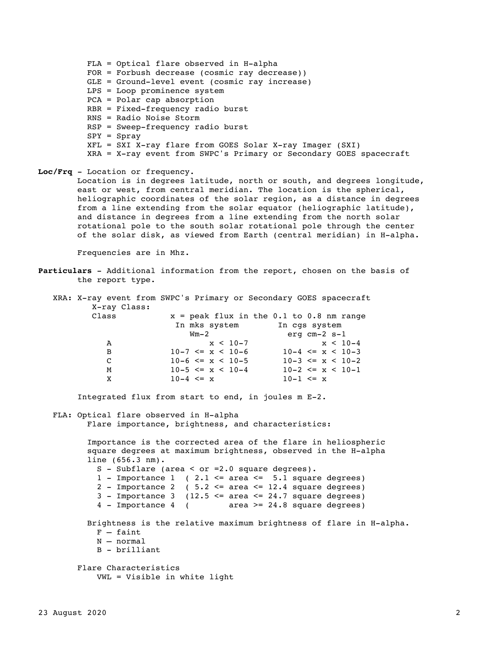FLA = Optical flare observed in H-alpha FOR = Forbush decrease (cosmic ray decrease)) GLE = Ground-level event (cosmic ray increase) LPS = Loop prominence system PCA = Polar cap absorption RBR = Fixed-frequency radio burst RNS = Radio Noise Storm RSP = Sweep-frequency radio burst  $SPY = Spray$  XFL = SXI X-ray flare from GOES Solar X-ray Imager (SXI) XRA = X-ray event from SWPC's Primary or Secondary GOES spacecraft

of the solar disk, as viewed from Earth (central meridian) in H-alpha.

**Loc/Frq** - Location or frequency. Location is in degrees latitude, north or south, and degrees longitude, east or west, from central meridian. The location is the spherical, heliographic coordinates of the solar region, as a distance in degrees from a line extending from the solar equator (heliographic latitude), and distance in degrees from a line extending from the north solar rotational pole to the south solar rotational pole through the center

Frequencies are in Mhz.

**Particulars** - Additional information from the report, chosen on the basis of the report type.

|              | XRA: X-ray event from SWPC's Primary or Secondary GOES spacecraft |                       |
|--------------|-------------------------------------------------------------------|-----------------------|
| X-ray Class: |                                                                   |                       |
| Class        | $x = peak$ flux in the 0.1 to 0.8 nm range                        |                       |
|              | In mks system                                                     | In cgs system         |
|              | $Wm-2$                                                            | erg cm-2 s-1          |
| A            | $x < 10-7$                                                        | $x < 10-4$            |
| B            | $10-7 \le x \le 10-6$                                             | $10-4 \le x \le 10-3$ |
| C            | $10-6 \le x \le 10-5$                                             | $10-3 \le x \le 10-2$ |
| M            | $10-5 \le x \le 10-4$                                             | $10-2 \le x \le 10-1$ |
| X            | $10-4 \le x$                                                      | $10 - 1 \le x$        |

Integrated flux from start to end, in joules m E-2.

 FLA: Optical flare observed in H-alpha Flare importance, brightness, and characteristics: Importance is the corrected area of the flare in heliospheric

VWL = Visible in white light

 square degrees at maximum brightness, observed in the H-alpha line (656.3 nm). S - Subflare (area < or  $=2.0$  square degrees).  $1$  - Importance  $1$  (  $2.1$   $\leq$  area  $\leq$   $5.1$  square degrees) 2 - Importance 2 (  $5.2 \le$  area  $\le$  12.4 square degrees)  $3$  - Importance 3 (12.5 <= area <= 24.7 square degrees) 4 - Importance 4 ( area >= 24.8 square degrees)

```
 Brightness is the relative maximum brightness of flare in H-alpha.
   F - faint N – normal
    B - brilliant
Flare Characteristics
```